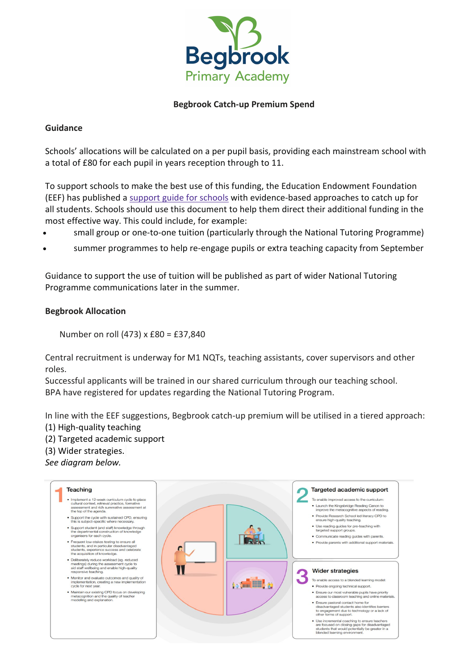

## **Begbrook Catch-up Premium Spend**

#### **Guidance**

Schools' allocations will be calculated on a per pupil basis, providing each mainstream school with a total of £80 for each pupil in years reception through to 11.

To support schools to make the best use of this funding, the Education Endowment Foundation (EEF) has published a [support](https://educationendowmentfoundation.org.uk/covid-19-resources/covid-19-support-guide-for-schools/#nav-covid-19-support-guide-for-schools1) guide for schools with evidence-based approaches to catch up for all students. Schools should use this document to help them direct their additional funding in the most effective way. This could include, for example:

- small group or one-to-one tuition (particularly through the National Tutoring Programme)
- summer programmes to help re-engage pupils or extra teaching capacity from September

Guidance to support the use of tuition will be published as part of wider National Tutoring Programme communications later in the summer.

## **Begbrook Allocation**

Number on roll (473) x £80 = £37,840

Central recruitment is underway for M1 NQTs, teaching assistants, cover supervisors and other roles.

Successful applicants will be trained in our shared curriculum through our teaching school. BPA have registered for updates regarding the National Tutoring Program.

In line with the EEF suggestions, Begbrook catch-up premium will be utilised in a tiered approach: (1) High-quality teaching

- 
- (2) Targeted academic support

(3) Wider strategies.

*See diagram below.*

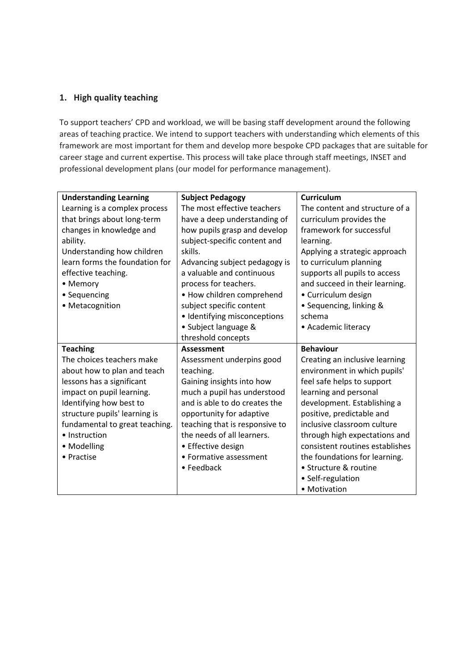# **1. High quality teaching**

To support teachers' CPD and workload, we will be basing staff development around the following areas of teaching practice. We intend to support teachers with understanding which elements of this framework are most important for them and develop more bespoke CPD packages that are suitable for career stage and current expertise. This process will take place through staff meetings, INSET and professional development plans (our model for performance management).

| <b>Understanding Learning</b>  | <b>Subject Pedagogy</b>        | <b>Curriculum</b>               |
|--------------------------------|--------------------------------|---------------------------------|
| Learning is a complex process  | The most effective teachers    | The content and structure of a  |
| that brings about long-term    | have a deep understanding of   | curriculum provides the         |
| changes in knowledge and       | how pupils grasp and develop   | framework for successful        |
| ability.                       | subject-specific content and   | learning.                       |
| Understanding how children     | skills.                        | Applying a strategic approach   |
| learn forms the foundation for | Advancing subject pedagogy is  | to curriculum planning          |
| effective teaching.            | a valuable and continuous      | supports all pupils to access   |
| • Memory                       | process for teachers.          | and succeed in their learning.  |
| • Sequencing                   | • How children comprehend      | • Curriculum design             |
| • Metacognition                | subject specific content       | • Sequencing, linking &         |
|                                | · Identifying misconceptions   | schema                          |
|                                | • Subject language &           | • Academic literacy             |
|                                | threshold concepts             |                                 |
| <b>Teaching</b>                | <b>Assessment</b>              | <b>Behaviour</b>                |
| The choices teachers make      | Assessment underpins good      | Creating an inclusive learning  |
| about how to plan and teach    | teaching.                      | environment in which pupils'    |
| lessons has a significant      | Gaining insights into how      | feel safe helps to support      |
| impact on pupil learning.      | much a pupil has understood    | learning and personal           |
| Identifying how best to        | and is able to do creates the  | development. Establishing a     |
| structure pupils' learning is  | opportunity for adaptive       | positive, predictable and       |
| fundamental to great teaching. | teaching that is responsive to | inclusive classroom culture     |
| • Instruction                  | the needs of all learners.     | through high expectations and   |
| • Modelling                    | • Effective design             | consistent routines establishes |
| • Practise                     | • Formative assessment         | the foundations for learning.   |
|                                |                                | • Structure & routine           |
|                                | • Feedback                     |                                 |
|                                |                                | • Self-regulation               |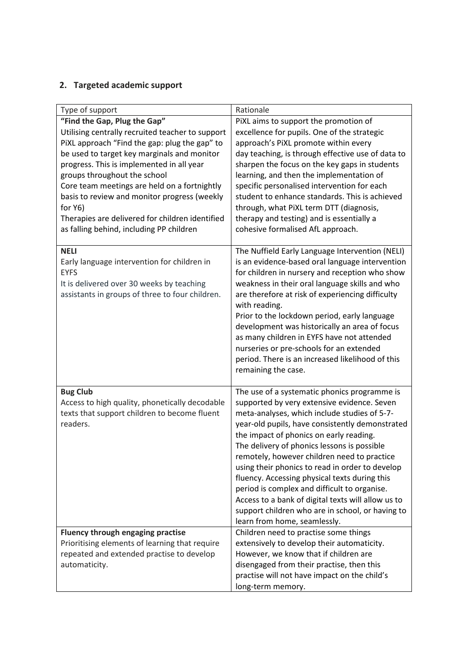# **2. Targeted academic support**

| Type of support                                            | Rationale                                                                                        |
|------------------------------------------------------------|--------------------------------------------------------------------------------------------------|
| "Find the Gap, Plug the Gap"                               | PiXL aims to support the promotion of                                                            |
| Utilising centrally recruited teacher to support           | excellence for pupils. One of the strategic                                                      |
| PiXL approach "Find the gap: plug the gap" to              | approach's PiXL promote within every                                                             |
| be used to target key marginals and monitor                | day teaching, is through effective use of data to                                                |
| progress. This is implemented in all year                  | sharpen the focus on the key gaps in students                                                    |
| groups throughout the school                               | learning, and then the implementation of                                                         |
| Core team meetings are held on a fortnightly               | specific personalised intervention for each                                                      |
| basis to review and monitor progress (weekly               | student to enhance standards. This is achieved                                                   |
| for Y6)<br>Therapies are delivered for children identified | through, what PiXL term DTT (diagnosis,                                                          |
| as falling behind, including PP children                   | therapy and testing) and is essentially a<br>cohesive formalised AfL approach.                   |
|                                                            |                                                                                                  |
| <b>NELI</b>                                                | The Nuffield Early Language Intervention (NELI)                                                  |
| Early language intervention for children in                | is an evidence-based oral language intervention                                                  |
| <b>EYFS</b>                                                | for children in nursery and reception who show                                                   |
| It is delivered over 30 weeks by teaching                  | weakness in their oral language skills and who                                                   |
| assistants in groups of three to four children.            | are therefore at risk of experiencing difficulty                                                 |
|                                                            | with reading.                                                                                    |
|                                                            | Prior to the lockdown period, early language                                                     |
|                                                            | development was historically an area of focus                                                    |
|                                                            | as many children in EYFS have not attended                                                       |
|                                                            | nurseries or pre-schools for an extended<br>period. There is an increased likelihood of this     |
|                                                            | remaining the case.                                                                              |
|                                                            |                                                                                                  |
| <b>Bug Club</b>                                            | The use of a systematic phonics programme is                                                     |
| Access to high quality, phonetically decodable             | supported by very extensive evidence. Seven                                                      |
| texts that support children to become fluent               | meta-analyses, which include studies of 5-7-                                                     |
| readers.                                                   | year-old pupils, have consistently demonstrated                                                  |
|                                                            | the impact of phonics on early reading.                                                          |
|                                                            | The delivery of phonics lessons is possible                                                      |
|                                                            | remotely, however children need to practice                                                      |
|                                                            | using their phonics to read in order to develop<br>fluency. Accessing physical texts during this |
|                                                            | period is complex and difficult to organise.                                                     |
|                                                            | Access to a bank of digital texts will allow us to                                               |
|                                                            | support children who are in school, or having to                                                 |
|                                                            | learn from home, seamlessly.                                                                     |
| Fluency through engaging practise                          | Children need to practise some things                                                            |
| Prioritising elements of learning that require             | extensively to develop their automaticity.                                                       |
| repeated and extended practise to develop                  | However, we know that if children are                                                            |
| automaticity.                                              | disengaged from their practise, then this                                                        |
|                                                            | practise will not have impact on the child's                                                     |
|                                                            | long-term memory.                                                                                |